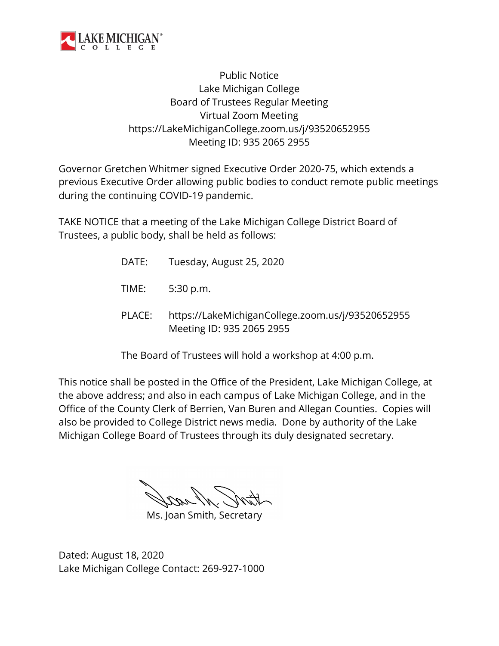

Public Notice Lake Michigan College Board of Trustees Regular Meeting Virtual Zoom Meeting https://LakeMichiganCollege.zoom.us/j/93520652955 Meeting ID: 935 2065 2955

Governor Gretchen Whitmer signed Executive Order 2020-75, which extends a previous Executive Order allowing public bodies to conduct remote public meetings during the continuing COVID-19 pandemic.

TAKE NOTICE that a meeting of the Lake Michigan College District Board of Trustees, a public body, shall be held as follows:

- DATE: Tuesday, August 25, 2020
- TIME: 5:30 p.m.
- PLACE: https://LakeMichiganCollege.zoom.us/j/93520652955 Meeting ID: 935 2065 2955

The Board of Trustees will hold a workshop at 4:00 p.m.

This notice shall be posted in the Office of the President, Lake Michigan College, at the above address; and also in each campus of Lake Michigan College, and in the Office of the County Clerk of Berrien, Van Buren and Allegan Counties. Copies will also be provided to College District news media. Done by authority of the Lake Michigan College Board of Trustees through its duly designated secretary.

Ms. Joan Smith, Secretary

Dated: August 18, 2020 Lake Michigan College Contact: 269-927-1000